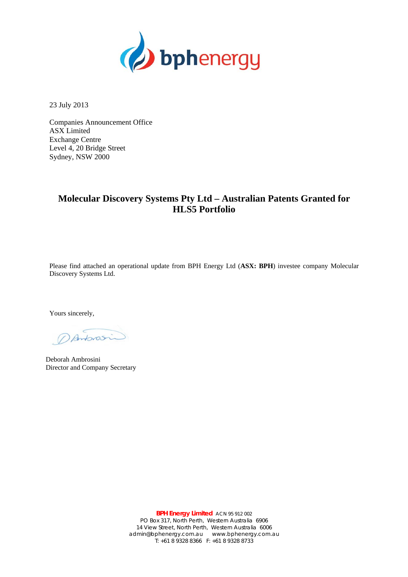

23 July 2013

Companies Announcement Office ASX Limited Exchange Centre Level 4, 20 Bridge Street Sydney, NSW 2000

## **Molecular Discovery Systems Pty Ltd – Australian Patents Granted for HLS5 Portfolio**

Please find attached an operational update from BPH Energy Ltd (**ASX: BPH**) investee company Molecular Discovery Systems Ltd.

Yours sincerely,

DAntonsin

Deborah Ambrosini Director and Company Secretary

**BPH Energy Limited** ACN 95 912 002 PO Box 317, North Perth, Western Australia 6906 14 View Street, North Perth, Western Australia 6006 admin@bphenergy.com.au www.bphenergy.com.au T: +61 8 9328 8366 F: +61 8 9328 8733